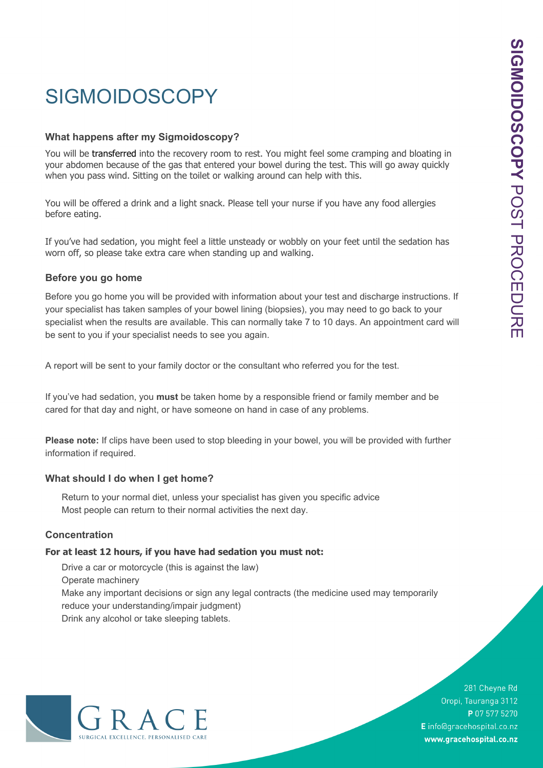# **SIGMOIDOSCOPY**

### **What happens after my Sigmoidoscopy?**

You will be transferred into the recovery room to rest. You might feel some cramping and bloating in your abdomen because of the gas that entered your bowel during the test. This will go away quickly when you pass wind. Sitting on the toilet or walking around can help with this.

You will be offered a drink and a light snack. Please tell your nurse if you have any food allergies before eating.

If you've had sedation, you might feel a little unsteady or wobbly on your feet until the sedation has worn off, so please take extra care when standing up and walking.

### **Before you go home**

Before you go home you will be provided with information about your test and discharge instructions. If your specialist has taken samples of your bowel lining (biopsies), you may need to go back to your specialist when the results are available. This can normally take 7 to 10 days. An appointment card will be sent to you if your specialist needs to see you again.

A report will be sent to your family doctor or the consultant who referred you for the test.

If you've had sedation, you **must** be taken home by a responsible friend or family member and be cared for that day and night, or have someone on hand in case of any problems.

**Please note:** If clips have been used to stop bleeding in your bowel, you will be provided with further information if required.

#### **What should I do when I get home?**

Return to your normal diet, unless your specialist has given you specific advice Most people can return to their normal activities the next day.

## **Concentration**

#### **For at least 12 hours, if you have had sedation you must not:**

Drive a car or motorcycle (this is against the law) Operate machinery Make any important decisions or sign any legal contracts (the medicine used may temporarily reduce your understanding/impair judgment) Drink any alcohol or take sleeping tablets.



281 Cheyne Rd Oropi, Tauranga 3112 P 07 577 5270 E info@gracehospital.co.nz www.gracehospital.co.nz